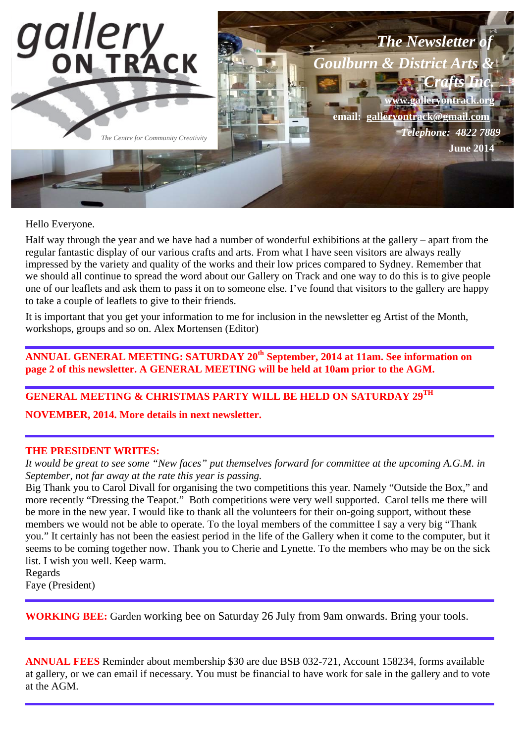

Hello Everyone.

Half way through the year and we have had a number of wonderful exhibitions at the gallery – apart from the regular fantastic display of our various crafts and arts. From what I have seen visitors are always really impressed by the variety and quality of the works and their low prices compared to Sydney. Remember that we should all continue to spread the word about our Gallery on Track and one way to do this is to give people one of our leaflets and ask them to pass it on to someone else. I've found that visitors to the gallery are happy to take a couple of leaflets to give to their friends.

It is important that you get your information to me for inclusion in the newsletter eg Artist of the Month, workshops, groups and so on. Alex Mortensen (Editor)

**ANNUAL GENERAL MEETING: SATURDAY 20th September, 2014 at 11am. See information on page 2 of this newsletter. A GENERAL MEETING will be held at 10am prior to the AGM.** 

**GENERAL MEETING & CHRISTMAS PARTY WILL BE HELD ON SATURDAY 29TH**

**NOVEMBER, 2014. More details in next newsletter.** 

#### **THE PRESIDENT WRITES:**

*It would be great to see some "New faces" put themselves forward for committee at the upcoming A.G.M. in September, not far away at the rate this year is passing.*

Big Thank you to Carol Divall for organising the two competitions this year. Namely "Outside the Box," and more recently "Dressing the Teapot." Both competitions were very well supported. Carol tells me there will be more in the new year. I would like to thank all the volunteers for their on-going support, without these members we would not be able to operate. To the loyal members of the committee I say a very big "Thank you." It certainly has not been the easiest period in the life of the Gallery when it come to the computer, but it seems to be coming together now. Thank you to Cherie and Lynette. To the members who may be on the sick list. I wish you well. Keep warm.

Regards

Faye (President)

**WORKING BEE:** Garden working bee on Saturday 26 July from 9am onwards. Bring your tools.

**ANNUAL FEES** Reminder about membership \$30 are due BSB 032-721, Account 158234, forms available at gallery, or we can email if necessary. You must be financial to have work for sale in the gallery and to vote at the AGM.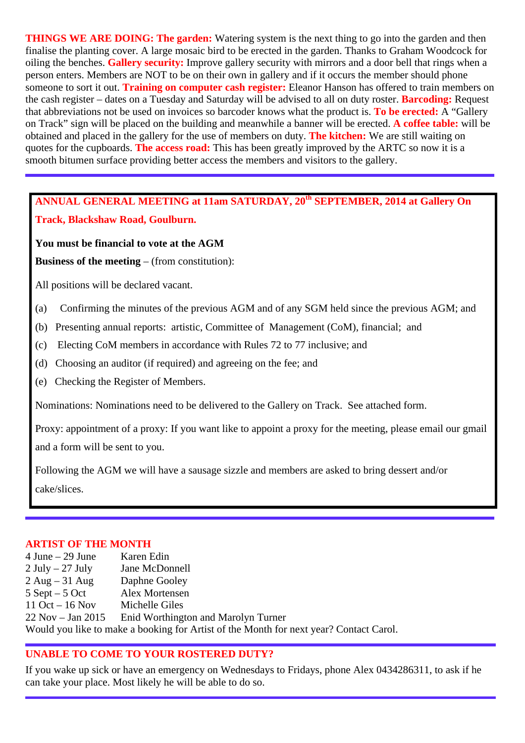**THINGS WE ARE DOING: The garden:** Watering system is the next thing to go into the garden and then finalise the planting cover. A large mosaic bird to be erected in the garden. Thanks to Graham Woodcock for oiling the benches. **Gallery security:** Improve gallery security with mirrors and a door bell that rings when a person enters. Members are NOT to be on their own in gallery and if it occurs the member should phone someone to sort it out. **Training on computer cash register:** Eleanor Hanson has offered to train members on the cash register – dates on a Tuesday and Saturday will be advised to all on duty roster. **Barcoding:** Request that abbreviations not be used on invoices so barcoder knows what the product is. **To be erected:** A "Gallery on Track" sign will be placed on the building and meanwhile a banner will be erected. **A coffee table:** will be obtained and placed in the gallery for the use of members on duty. **The kitchen:** We are still waiting on quotes for the cupboards. **The access road:** This has been greatly improved by the ARTC so now it is a smooth bitumen surface providing better access the members and visitors to the gallery.

# **ANNUAL GENERAL MEETING at 11am SATURDAY, 20th SEPTEMBER, 2014 at Gallery On Track, Blackshaw Road, Goulburn.**

#### **You must be financial to vote at the AGM**

**Business of the meeting** – (from constitution):

All positions will be declared vacant.

- (a) Confirming the minutes of the previous AGM and of any SGM held since the previous AGM; and
- (b) Presenting annual reports: artistic, Committee of Management (CoM), financial; and
- (c) Electing CoM members in accordance with Rules 72 to 77 inclusive; and
- (d) Choosing an auditor (if required) and agreeing on the fee; and
- (e) Checking the Register of Members.

Nominations: Nominations need to be delivered to the Gallery on Track. See attached form.

Proxy: appointment of a proxy: If you want like to appoint a proxy for the meeting, please email our gmail and a form will be sent to you.

Following the AGM we will have a sausage sizzle and members are asked to bring dessert and/or cake/slices.

#### **ARTIST OF THE MONTH**

4 June – 29 June Karen Edin 2 July – 27 July Jane McDonnell 2 Aug – 31 Aug Daphne Gooley 5 Sept – 5 Oct Alex Mortensen 11 Oct – 16 Nov Michelle Giles 22 Nov – Jan 2015 Enid Worthington and Marolyn Turner Would you like to make a booking for Artist of the Month for next year? Contact Carol.

## **UNABLE TO COME TO YOUR ROSTERED DUTY?**

If you wake up sick or have an emergency on Wednesdays to Fridays, phone Alex 0434286311, to ask if he can take your place. Most likely he will be able to do so.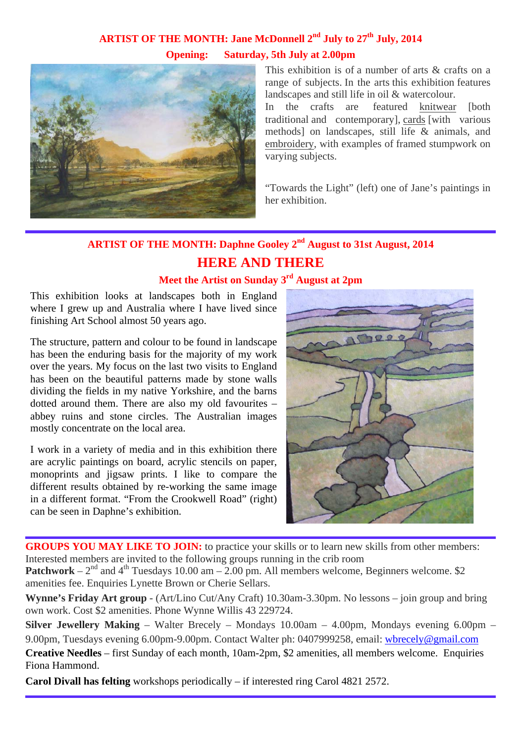# ARTIST OF THE MONTH: Jane McDonnell 2<sup>nd</sup> July to 27<sup>th</sup> July, 2014 **Opening: Saturday, 5th July at 2.00pm**



This exhibition is of a number of arts & crafts on a range of subjects. In the arts this exhibition features landscapes and still life in oil & watercolour.

In the crafts are featured knitwear [both traditional and contemporary], cards [with various methods] on landscapes, still life & animals, and embroidery, with examples of framed stumpwork on varying subjects.

"Towards the Light" (left) one of Jane's paintings in her exhibition.

# **ARTIST OF THE MONTH: Daphne Gooley 2nd August to 31st August, 2014 HERE AND THERE**

## **Meet the Artist on Sunday 3rd August at 2pm**

This exhibition looks at landscapes both in England where I grew up and Australia where I have lived since finishing Art School almost 50 years ago.

The structure, pattern and colour to be found in landscape has been the enduring basis for the majority of my work over the years. My focus on the last two visits to England has been on the beautiful patterns made by stone walls dividing the fields in my native Yorkshire, and the barns dotted around them. There are also my old favourites – abbey ruins and stone circles. The Australian images mostly concentrate on the local area.

I work in a variety of media and in this exhibition there are acrylic paintings on board, acrylic stencils on paper, monoprints and jigsaw prints. I like to compare the different results obtained by re-working the same image in a different format. "From the Crookwell Road" (right) can be seen in Daphne's exhibition.



**GROUPS YOU MAY LIKE TO JOIN:** to practice your skills or to learn new skills from other members: Interested members are invited to the following groups running in the crib room

**Patchwork** –  $2<sup>nd</sup>$  and  $4<sup>th</sup>$  Tuesdays 10.00 am – 2.00 pm. All members welcome, Beginners welcome. \$2 amenities fee. Enquiries Lynette Brown or Cherie Sellars.

**Wynne's Friday Art group** - (Art/Lino Cut/Any Craft) 10.30am-3.30pm. No lessons – join group and bring own work. Cost \$2 amenities. Phone Wynne Willis 43 229724.

**Silver Jewellery Making** – Walter Brecely – Mondays 10.00am – 4.00pm, Mondays evening 6.00pm – 9.00pm, Tuesdays evening 6.00pm-9.00pm. Contact Walter ph: 0407999258, email: wbrecely@gmail.com **Creative Needles** – first Sunday of each month, 10am-2pm, \$2 amenities, all members welcome. Enquiries Fiona Hammond.

**Carol Divall has felting** workshops periodically – if interested ring Carol 4821 2572.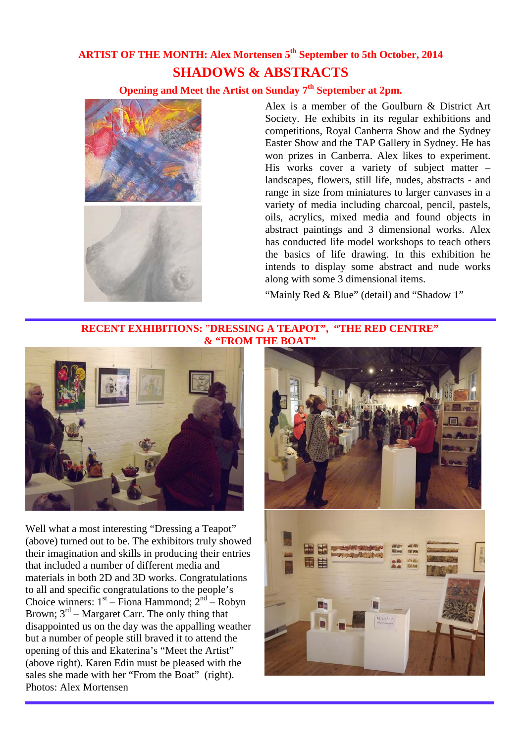# **ARTIST OF THE MONTH: Alex Mortensen 5th September to 5th October, 2014 SHADOWS & ABSTRACTS**

## **Opening and Meet the Artist on Sunday 7th September at 2pm.**



Alex is a member of the Goulburn & District Art Society. He exhibits in its regular exhibitions and competitions, Royal Canberra Show and the Sydney Easter Show and the TAP Gallery in Sydney. He has won prizes in Canberra. Alex likes to experiment. His works cover a variety of subject matter – landscapes, flowers, still life, nudes, abstracts - and range in size from miniatures to larger canvases in a variety of media including charcoal, pencil, pastels, oils, acrylics, mixed media and found objects in abstract paintings and 3 dimensional works. Alex has conducted life model workshops to teach others the basics of life drawing. In this exhibition he intends to display some abstract and nude works along with some 3 dimensional items.

"Mainly Red & Blue" (detail) and "Shadow 1"

#### **RECENT EXHIBITIONS:** "**DRESSING A TEAPOT", "THE RED CENTRE" & "FROM THE BOAT"**



Well what a most interesting "Dressing a Teapot" (above) turned out to be. The exhibitors truly showed their imagination and skills in producing their entries that included a number of different media and materials in both 2D and 3D works. Congratulations to all and specific congratulations to the people's Choice winners:  $1<sup>st</sup> - Fiona$  Hammond;  $2<sup>nd</sup> - Robyn$ Brown;  $3<sup>rd</sup>$  – Margaret Carr. The only thing that disappointed us on the day was the appalling weather but a number of people still braved it to attend the opening of this and Ekaterina's "Meet the Artist" (above right). Karen Edin must be pleased with the sales she made with her "From the Boat" (right). Photos: Alex Mortensen